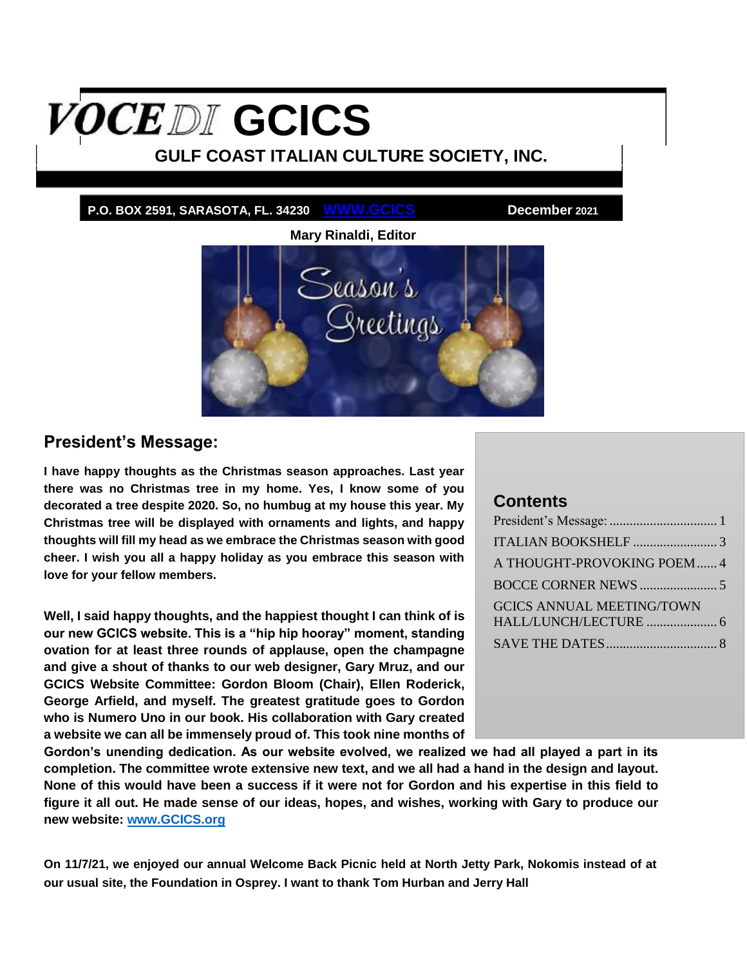# <span id="page-0-1"></span>**OCEDI** GCICS

## **GULF COAST ITALIAN CULTURE SOCIETY, INC.**

**P.O. BOX 2591, SARASOTA, FL. 34230 WWW.GCICS December 2021**



## <span id="page-0-0"></span>**President's Message:**

**I have happy thoughts as the Christmas season approaches. Last year there was no Christmas tree in my home. Yes, I know some of you decorated a tree despite 2020. So, no humbug at my house this year. My Christmas tree will be displayed with ornaments and lights, and happy thoughts will fill my head as we embrace the Christmas season with good cheer. I wish you all a happy holiday as you embrace this season with love for your fellow members.**

**Well, I said happy thoughts, and the happiest thought I can think of is our new GCICS website. This is a "hip hip hooray" moment, standing ovation for at least three rounds of applause, open the champagne and give a shout of thanks to our web designer, Gary Mruz, and our GCICS Website Committee: Gordon Bloom (Chair), Ellen Roderick, George Arfield, and myself. The greatest gratitude goes to Gordon who is Numero Uno in our book. His collaboration with Gary created a website we can all be immensely proud of. This took nine months of** 

#### **Contents**

| A THOUGHT-PROVOKING POEM  4      |  |
|----------------------------------|--|
|                                  |  |
| <b>GCICS ANNUAL MEETING/TOWN</b> |  |
|                                  |  |

**Gordon's unending dedication. As our website evolved, we realized we had all played a part in its completion. The committee wrote extensive new text, and we all had a hand in the design and layout. None of this would have been a success if it were not for Gordon and his expertise in this field to figure it all out. He made sense of our ideas, hopes, and wishes, working with Gary to produce our new website: [www.GCICS.org](http://www.gcics.org/)**

**On 11/7/21, we enjoyed our annual Welcome Back Picnic held at North Jetty Park, Nokomis instead of at our usual site, the Foundation in Osprey. I want to thank Tom Hurban and Jerry Hall**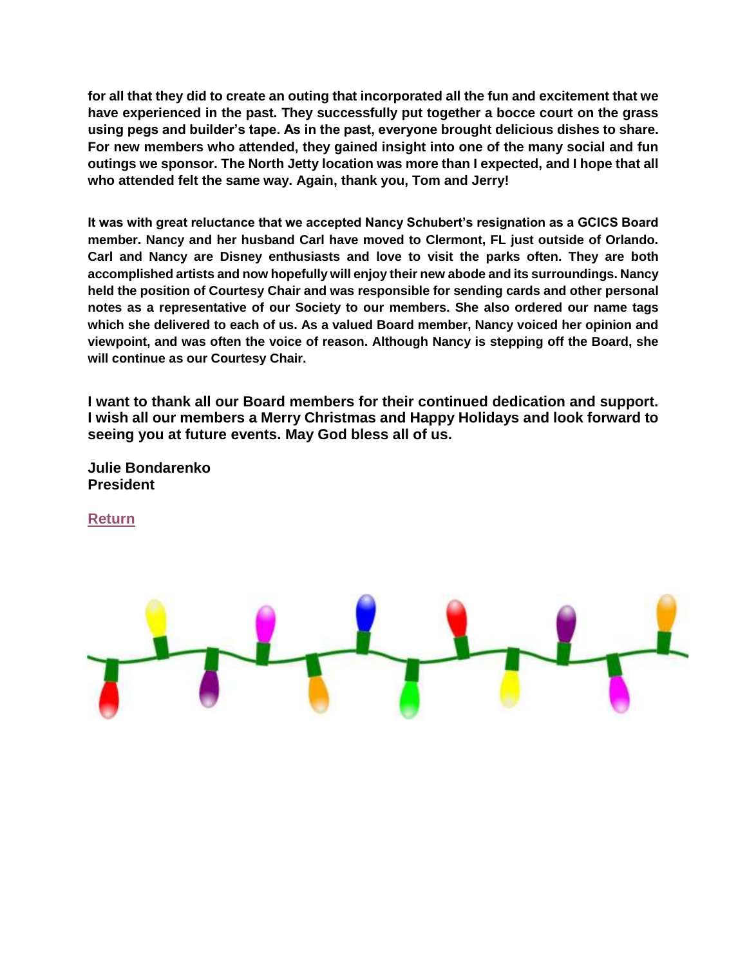**for all that they did to create an outing that incorporated all the fun and excitement that we have experienced in the past. They successfully put together a bocce court on the grass using pegs and builder's tape. As in the past, everyone brought delicious dishes to share. For new members who attended, they gained insight into one of the many social and fun outings we sponsor. The North Jetty location was more than I expected, and I hope that all who attended felt the same way. Again, thank you, Tom and Jerry!**

**It was with great reluctance that we accepted Nancy Schubert's resignation as a GCICS Board member. Nancy and her husband Carl have moved to Clermont, FL just outside of Orlando. Carl and Nancy are Disney enthusiasts and love to visit the parks often. They are both accomplished artists and now hopefully will enjoy their new abode and its surroundings. Nancy held the position of Courtesy Chair and was responsible for sending cards and other personal notes as a representative of our Society to our members. She also ordered our name tags which she delivered to each of us. As a valued Board member, Nancy voiced her opinion and viewpoint, and was often the voice of reason. Although Nancy is stepping off the Board, she will continue as our Courtesy Chair.**

**I want to thank all our Board members for their continued dedication and support. I wish all our members a Merry Christmas and Happy Holidays and look forward to seeing you at future events. May God bless all of us.**

**Julie Bondarenko President**

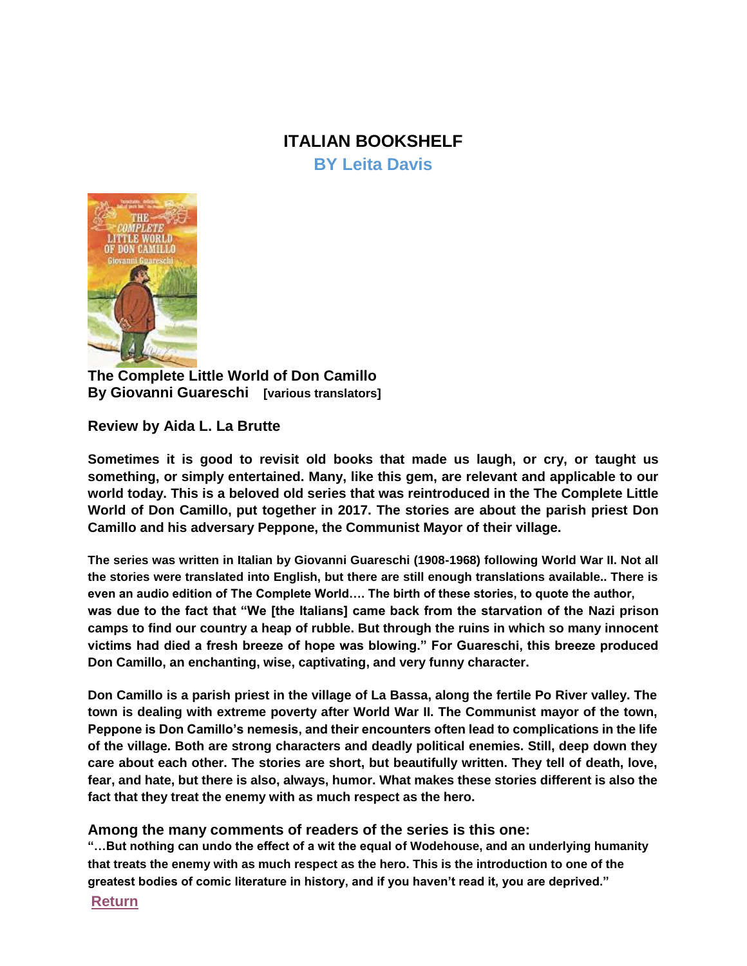# **ITALIAN BOOKSHELF**

**BY Leita Davis**

<span id="page-2-0"></span>

**The Complete Little World of Don Camillo By Giovanni Guareschi [various translators]**

**Review by Aida L. La Brutte**

**Sometimes it is good to revisit old books that made us laugh, or cry, or taught us something, or simply entertained. Many, like this gem, are relevant and applicable to our world today. This is a beloved old series that was reintroduced in the The Complete Little World of Don Camillo, put together in 2017. The stories are about the parish priest Don Camillo and his adversary Peppone, the Communist Mayor of their village.**

**The series was written in Italian by Giovanni Guareschi (1908-1968) following World War II. Not all the stories were translated into English, but there are still enough translations available.. There is even an audio edition of The Complete World…. The birth of these stories, to quote the author, was due to the fact that "We [the Italians] came back from the starvation of the Nazi prison camps to find our country a heap of rubble. But through the ruins in which so many innocent victims had died a fresh breeze of hope was blowing." For Guareschi, this breeze produced Don Camillo, an enchanting, wise, captivating, and very funny character.**

**Don Camillo is a parish priest in the village of La Bassa, along the fertile Po River valley. The town is dealing with extreme poverty after World War II. The Communist mayor of the town, Peppone is Don Camillo's nemesis, and their encounters often lead to complications in the life of the village. Both are strong characters and deadly political enemies. Still, deep down they care about each other. The stories are short, but beautifully written. They tell of death, love, fear, and hate, but there is also, always, humor. What makes these stories different is also the fact that they treat the enemy with as much respect as the hero.**

#### **Among the many comments of readers of the series is this one:**

**"…But nothing can undo the effect of a wit the equal of Wodehouse, and an underlying humanity that treats the enemy with as much respect as the hero. This is the introduction to one of the greatest bodies of comic literature in history, and if you haven't read it, you are deprived."**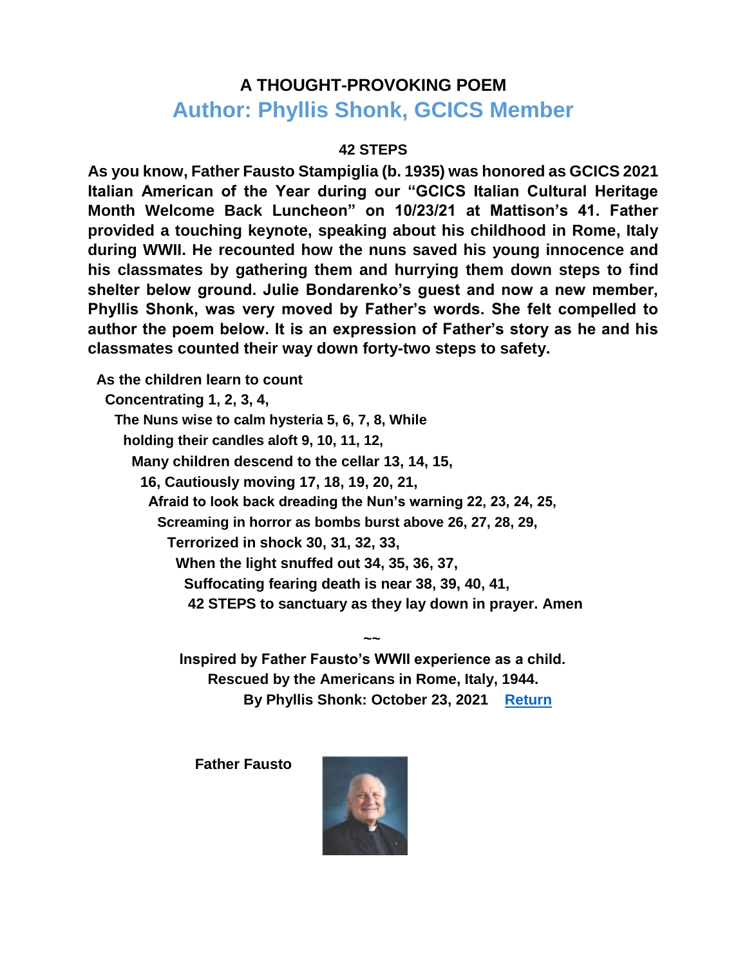# <span id="page-3-0"></span>**A THOUGHT-PROVOKING POEM Author: Phyllis Shonk, GCICS Member**

#### **42 STEPS**

**As you know, Father Fausto Stampiglia (b. 1935) was honored as GCICS 2021 Italian American of the Year during our "GCICS Italian Cultural Heritage Month Welcome Back Luncheon" on 10/23/21 at Mattison's 41. Father provided a touching keynote, speaking about his childhood in Rome, Italy during WWII. He recounted how the nuns saved his young innocence and his classmates by gathering them and hurrying them down steps to find shelter below ground. Julie Bondarenko's guest and now a new member, Phyllis Shonk, was very moved by Father's words. She felt compelled to author the poem below. It is an expression of Father's story as he and his classmates counted their way down forty-two steps to safety.**

**As the children learn to count Concentrating 1, 2, 3, 4, The Nuns wise to calm hysteria 5, 6, 7, 8, While holding their candles aloft 9, 10, 11, 12, Many children descend to the cellar 13, 14, 15, 16, Cautiously moving 17, 18, 19, 20, 21, Afraid to look back dreading the Nun's warning 22, 23, 24, 25, Screaming in horror as bombs burst above 26, 27, 28, 29, Terrorized in shock 30, 31, 32, 33, When the light snuffed out 34, 35, 36, 37, Suffocating fearing death is near 38, 39, 40, 41, 42 STEPS to sanctuary as they lay down in prayer. Amen** 

> **Inspired by Father Fausto's WWII experience as a child. Rescued by the Americans in Rome, Italy, 1944. By Phyllis Shonk: October 23, 2021 [Return](#page-0-1)**

**~~**

**Father Fausto**

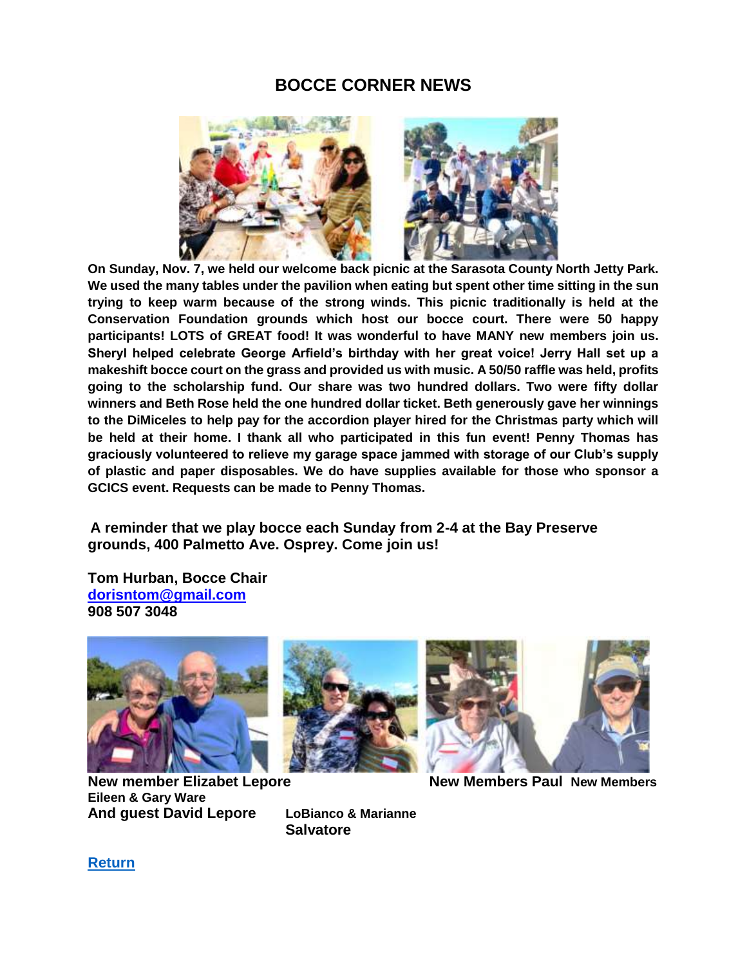## **BOCCE CORNER NEWS**

<span id="page-4-0"></span>

**On Sunday, Nov. 7, we held our welcome back picnic at the Sarasota County North Jetty Park. We used the many tables under the pavilion when eating but spent other time sitting in the sun trying to keep warm because of the strong winds. This picnic traditionally is held at the Conservation Foundation grounds which host our bocce court. There were 50 happy participants! LOTS of GREAT food! It was wonderful to have MANY new members join us. Sheryl helped celebrate George Arfield's birthday with her great voice! Jerry Hall set up a makeshift bocce court on the grass and provided us with music. A 50/50 raffle was held, profits going to the scholarship fund. Our share was two hundred dollars. Two were fifty dollar winners and Beth Rose held the one hundred dollar ticket. Beth generously gave her winnings to the DiMiceles to help pay for the accordion player hired for the Christmas party which will be held at their home. I thank all who participated in this fun event! Penny Thomas has graciously volunteered to relieve my garage space jammed with storage of our Club's supply of plastic and paper disposables. We do have supplies available for those who sponsor a GCICS event. Requests can be made to Penny Thomas.**

**A reminder that we play bocce each Sunday from 2-4 at the Bay Preserve grounds, 400 Palmetto Ave. Osprey. Come join us!**

**Tom Hurban, Bocce Chair dorisntom@gmail.com 908 507 3048**



**New member Elizabet Lepore New Members Paul New Members Eileen & Gary Ware And guest David Lepore LoBianco & Marianne**





**Salvatore**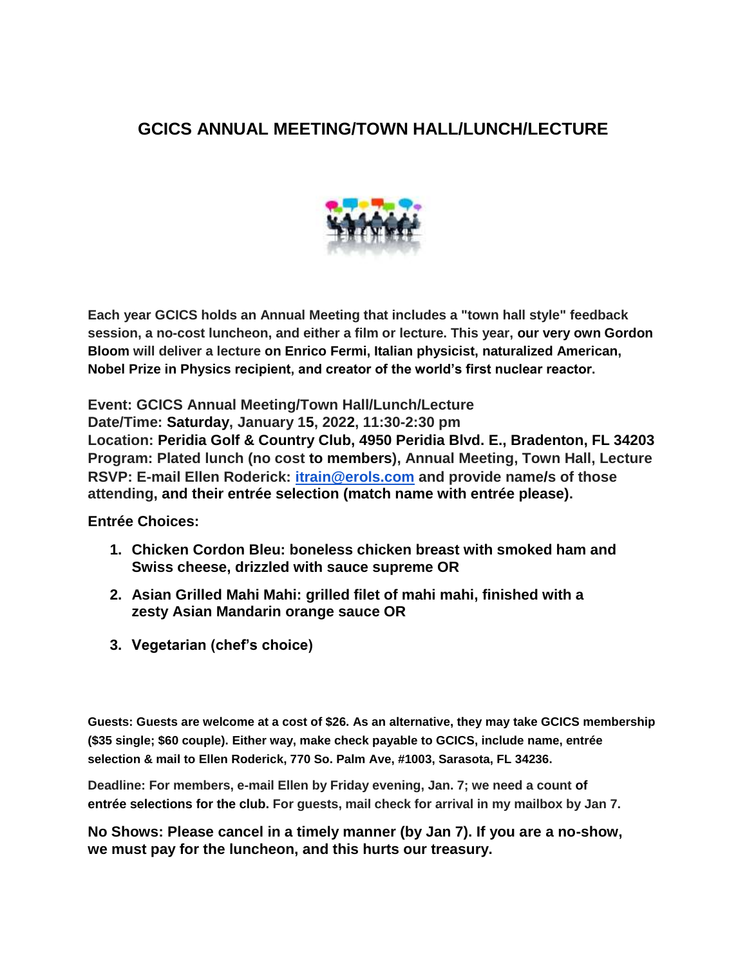# <span id="page-5-0"></span>**GCICS ANNUAL MEETING/TOWN HALL/LUNCH/LECTURE**



**Each year GCICS holds an Annual Meeting that includes a "town hall style" feedback session, a no-cost luncheon, and either a film or lecture. This year, our very own Gordon Bloom will deliver a lecture on Enrico Fermi, Italian physicist, naturalized American, Nobel Prize in Physics recipient, and creator of the world's first nuclear reactor.**

**Event: GCICS Annual Meeting/Town Hall/Lunch/Lecture Date/Time: Saturday, January 15, 2022, 11:30-2:30 pm Location: Peridia Golf & Country Club, 4950 Peridia Blvd. E., Bradenton, FL 34203 Program: Plated lunch (no cost to members), Annual Meeting, Town Hall, Lecture RSVP: E-mail Ellen Roderick: itrain@erols.com and provide name/s of those attending, and their entrée selection (match name with entrée please).**

**Entrée Choices:**

- **1. Chicken Cordon Bleu: boneless chicken breast with smoked ham and Swiss cheese, drizzled with sauce supreme OR**
- **2. Asian Grilled Mahi Mahi: grilled filet of mahi mahi, finished with a zesty Asian Mandarin orange sauce OR**
- **3. Vegetarian (chef's choice)**

**Guests: Guests are welcome at a cost of \$26. As an alternative, they may take GCICS membership (\$35 single; \$60 couple). Either way, make check payable to GCICS, include name, entrée selection & mail to Ellen Roderick, 770 So. Palm Ave, #1003, Sarasota, FL 34236.**

**Deadline: For members, e-mail Ellen by Friday evening, Jan. 7; we need a count of entrée selections for the club. For guests, mail check for arrival in my mailbox by Jan 7.**

**No Shows: Please cancel in a timely manner (by Jan 7). If you are a no-show, we must pay for the luncheon, and this hurts our treasury.**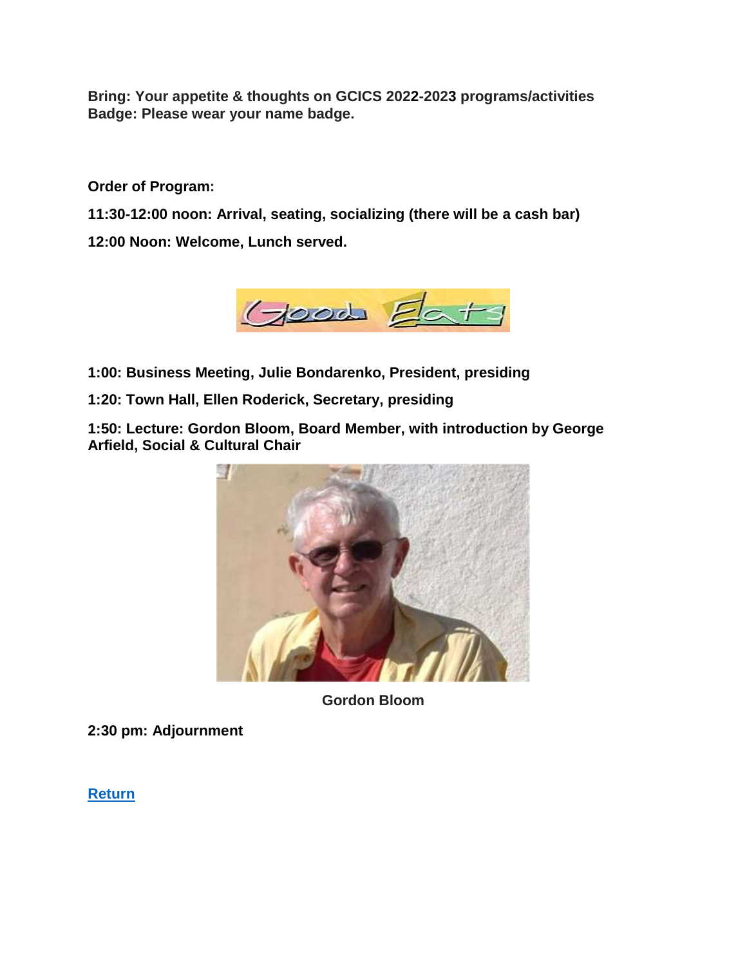**Bring: Your appetite & thoughts on GCICS 2022-2023 programs/activities Badge: Please wear your name badge.**

**Order of Program:**

**11:30-12:00 noon: Arrival, seating, socializing (there will be a cash bar)**

**12:00 Noon: Welcome, Lunch served.**



- **1:00: Business Meeting, Julie Bondarenko, President, presiding**
- **1:20: Town Hall, Ellen Roderick, Secretary, presiding**

**1:50: Lecture: Gordon Bloom, Board Member, with introduction by George Arfield, Social & Cultural Chair**



**Gordon Bloom**

**2:30 pm: Adjournment**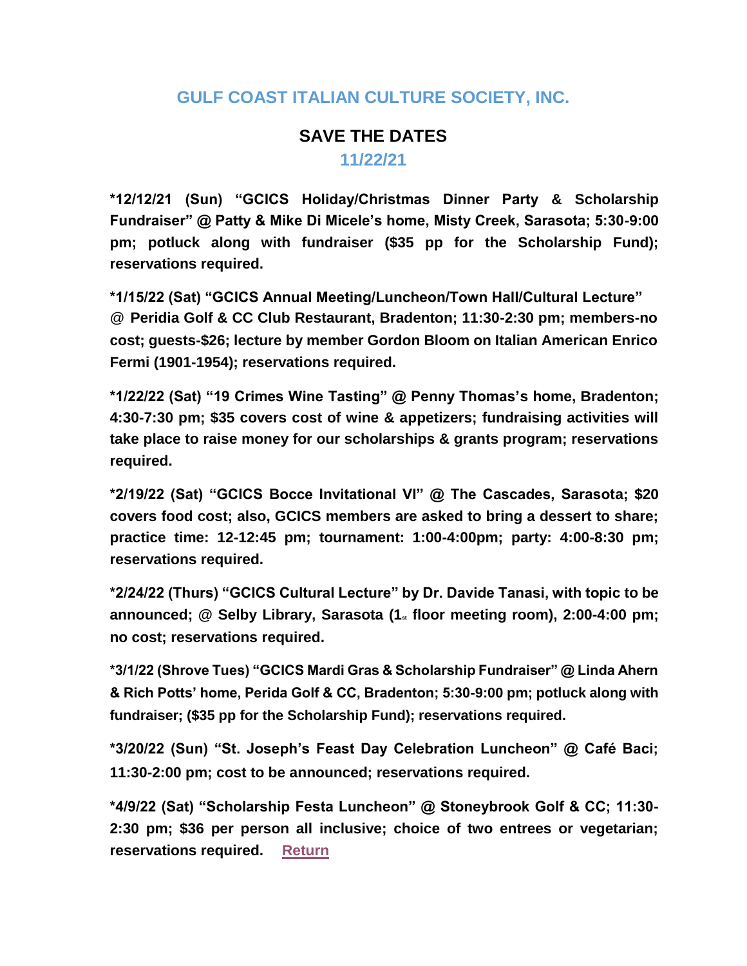## **GULF COAST ITALIAN CULTURE SOCIETY, INC.**

# **SAVE THE DATES 11/22/21**

<span id="page-7-0"></span>**\*12/12/21 (Sun) "GCICS Holiday/Christmas Dinner Party & Scholarship Fundraiser" @ Patty & Mike Di Micele's home, Misty Creek, Sarasota; 5:30-9:00 pm; potluck along with fundraiser (\$35 pp for the Scholarship Fund); reservations required.**

**\*1/15/22 (Sat) "GCICS Annual Meeting/Luncheon/Town Hall/Cultural Lecture"** @ **Peridia Golf & CC Club Restaurant, Bradenton; 11:30-2:30 pm; members-no cost; guests-\$26; lecture by member Gordon Bloom on Italian American Enrico Fermi (1901-1954); reservations required.**

**\*1/22/22 (Sat) "19 Crimes Wine Tasting" @ Penny Thomas's home, Bradenton; 4:30-7:30 pm; \$35 covers cost of wine & appetizers; fundraising activities will take place to raise money for our scholarships & grants program; reservations required.**

**\*2/19/22 (Sat) "GCICS Bocce Invitational VI" @ The Cascades, Sarasota; \$20 covers food cost; also, GCICS members are asked to bring a dessert to share; practice time: 12-12:45 pm; tournament: 1:00-4:00pm; party: 4:00-8:30 pm; reservations required.**

**\*2/24/22 (Thurs) "GCICS Cultural Lecture" by Dr. Davide Tanasi, with topic to be announced; @ Selby Library, Sarasota (1st floor meeting room), 2:00-4:00 pm; no cost; reservations required.**

**\*3/1/22 (Shrove Tues) "GCICS Mardi Gras & Scholarship Fundraiser" @ Linda Ahern & Rich Potts' home, Perida Golf & CC, Bradenton; 5:30-9:00 pm; potluck along with fundraiser; (\$35 pp for the Scholarship Fund); reservations required.**

**\*3/20/22 (Sun) "St. Joseph's Feast Day Celebration Luncheon" @ Café Baci; 11:30-2:00 pm; cost to be announced; reservations required.**

**\*4/9/22 (Sat) "Scholarship Festa Luncheon" @ Stoneybrook Golf & CC; 11:30- 2:30 pm; \$36 per person all inclusive; choice of two entrees or vegetarian; reservations required. [Return](#page-0-1)**